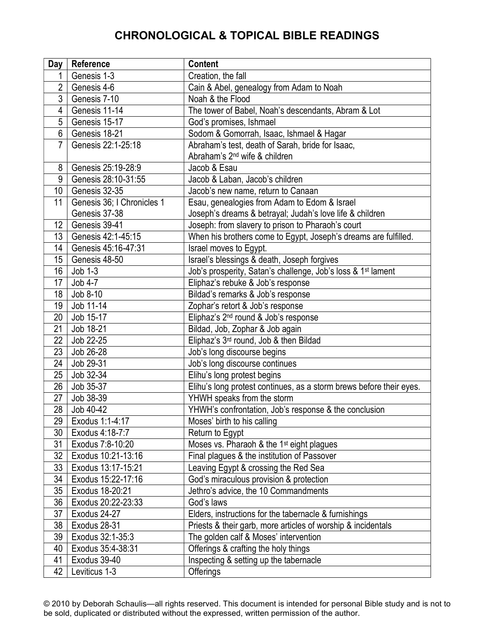| Day             | Reference                  | <b>Content</b>                                                           |
|-----------------|----------------------------|--------------------------------------------------------------------------|
|                 | Genesis 1-3                | Creation, the fall                                                       |
| $\overline{2}$  | Genesis 4-6                | Cain & Abel, genealogy from Adam to Noah                                 |
| 3               | Genesis 7-10               | Noah & the Flood                                                         |
| 4               | Genesis 11-14              | The tower of Babel, Noah's descendants, Abram & Lot                      |
| 5               | Genesis 15-17              | God's promises, Ishmael                                                  |
| 6               | Genesis 18-21              | Sodom & Gomorrah, Isaac, Ishmael & Hagar                                 |
| 7               | Genesis 22:1-25:18         | Abraham's test, death of Sarah, bride for Isaac,                         |
|                 |                            | Abraham's 2 <sup>nd</sup> wife & children                                |
| 8               | Genesis 25:19-28:9         | Jacob & Esau                                                             |
| 9               | Genesis 28:10-31:55        | Jacob & Laban, Jacob's children                                          |
| 10              | Genesis 32-35              | Jacob's new name, return to Canaan                                       |
| 11              | Genesis 36; I Chronicles 1 | Esau, genealogies from Adam to Edom & Israel                             |
|                 | Genesis 37-38              | Joseph's dreams & betrayal; Judah's love life & children                 |
| 12              | Genesis 39-41              | Joseph: from slavery to prison to Pharaoh's court                        |
| 13              | Genesis 42:1-45:15         | When his brothers come to Egypt, Joseph's dreams are fulfilled.          |
| 14              | Genesis 45:16-47:31        | Israel moves to Egypt.                                                   |
| 15              | Genesis 48-50              | Israel's blessings & death, Joseph forgives                              |
| 16              | $Job 1-3$                  | Job's prosperity, Satan's challenge, Job's loss & 1 <sup>st</sup> lament |
| 17              | Job 4-7                    | Eliphaz's rebuke & Job's response                                        |
| 18              | Job $8-10$                 | Bildad's remarks & Job's response                                        |
| 19              | Job 11-14                  | Zophar's retort & Job's response                                         |
| 20              | Job 15-17                  | Eliphaz's 2 <sup>nd</sup> round & Job's response                         |
| 21              | Job 18-21                  | Bildad, Job, Zophar & Job again                                          |
| 22              | Job 22-25                  | Eliphaz's 3rd round, Job & then Bildad                                   |
| 23              | Job 26-28                  | Job's long discourse begins                                              |
| 24              | Job 29-31                  | Job's long discourse continues                                           |
| 25              | Job 32-34                  | Elihu's long protest begins                                              |
| 26              | Job 35-37                  | Elihu's long protest continues, as a storm brews before their eyes.      |
| 27              | Job 38-39                  | YHWH speaks from the storm                                               |
| 28              | Job 40-42                  | YHWH's confrontation, Job's response & the conclusion                    |
| $\overline{29}$ | Exodus 1:1-4:17            | Moses' birth to his calling                                              |
| 30              | Exodus 4:18-7:7            | Return to Egypt                                                          |
| 31              | Exodus 7:8-10:20           | Moses vs. Pharaoh & the 1 <sup>st</sup> eight plagues                    |
| 32              | Exodus 10:21-13:16         | Final plagues & the institution of Passover                              |
| 33              | Exodus 13:17-15:21         | Leaving Egypt & crossing the Red Sea                                     |
| 34              | Exodus 15:22-17:16         | God's miraculous provision & protection                                  |
| 35              | Exodus 18-20:21            | Jethro's advice, the 10 Commandments                                     |
| 36              | Exodus 20:22-23:33         | God's laws                                                               |
| 37              | Exodus 24-27               | Elders, instructions for the tabernacle & furnishings                    |
| 38              | Exodus 28-31               | Priests & their garb, more articles of worship & incidentals             |
| 39              | Exodus 32:1-35:3           | The golden calf & Moses' intervention                                    |
| 40              | Exodus 35:4-38:31          | Offerings & crafting the holy things                                     |
| 41              | Exodus 39-40               | Inspecting & setting up the tabernacle                                   |
| 42              | Leviticus 1-3              | Offerings                                                                |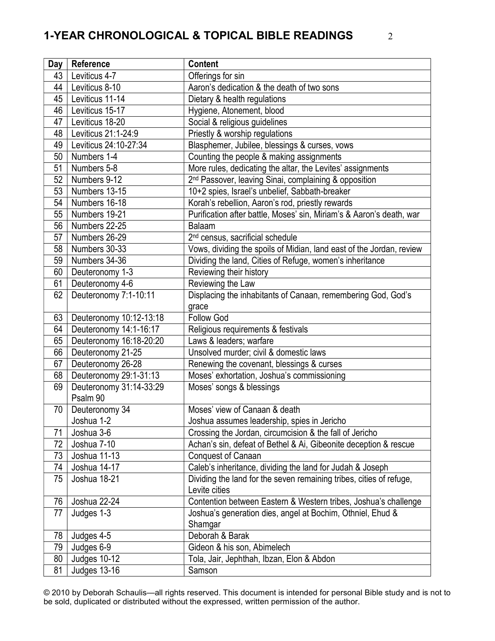| Day | Reference               | <b>Content</b>                                                       |
|-----|-------------------------|----------------------------------------------------------------------|
| 43  | Leviticus 4-7           | Offerings for sin                                                    |
| 44  | Leviticus 8-10          | Aaron's dedication & the death of two sons                           |
| 45  | Leviticus 11-14         | Dietary & health regulations                                         |
| 46  | Leviticus 15-17         | Hygiene, Atonement, blood                                            |
| 47  | Leviticus 18-20         | Social & religious guidelines                                        |
| 48  | Leviticus 21:1-24:9     | Priestly & worship regulations                                       |
| 49  | Leviticus 24:10-27:34   | Blasphemer, Jubilee, blessings & curses, vows                        |
| 50  | Numbers 1-4             | Counting the people & making assignments                             |
| 51  | Numbers 5-8             | More rules, dedicating the altar, the Levites' assignments           |
| 52  | Numbers 9-12            | 2 <sup>nd</sup> Passover, leaving Sinai, complaining & opposition    |
| 53  | Numbers 13-15           | 10+2 spies, Israel's unbelief, Sabbath-breaker                       |
| 54  | Numbers 16-18           | Korah's rebellion, Aaron's rod, priestly rewards                     |
| 55  | Numbers 19-21           | Purification after battle, Moses' sin, Miriam's & Aaron's death, war |
| 56  | Numbers 22-25           | Balaam                                                               |
| 57  | Numbers 26-29           | 2 <sup>nd</sup> census, sacrificial schedule                         |
| 58  | Numbers 30-33           | Vows, dividing the spoils of Midian, land east of the Jordan, review |
| 59  | Numbers 34-36           | Dividing the land, Cities of Refuge, women's inheritance             |
| 60  | Deuteronomy 1-3         | Reviewing their history                                              |
| 61  | Deuteronomy 4-6         | Reviewing the Law                                                    |
| 62  | Deuteronomy 7:1-10:11   | Displacing the inhabitants of Canaan, remembering God, God's         |
|     |                         | grace                                                                |
| 63  | Deuteronomy 10:12-13:18 | <b>Follow God</b>                                                    |
| 64  | Deuteronomy 14:1-16:17  | Religious requirements & festivals                                   |
| 65  | Deuteronomy 16:18-20:20 | Laws & leaders; warfare                                              |
| 66  | Deuteronomy 21-25       | Unsolved murder; civil & domestic laws                               |
| 67  | Deuteronomy 26-28       | Renewing the covenant, blessings & curses                            |
| 68  | Deuteronomy 29:1-31:13  | Moses' exhortation, Joshua's commissioning                           |
| 69  | Deuteronomy 31:14-33:29 | Moses' songs & blessings                                             |
|     | Psalm 90                |                                                                      |
| 70  | Deuteronomy 34          | Moses' view of Canaan & death                                        |
|     | Joshua 1-2              | Joshua assumes leadership, spies in Jericho                          |
| 71  | Joshua 3-6              | Crossing the Jordan, circumcision & the fall of Jericho              |
| 72  | Joshua 7-10             | Achan's sin, defeat of Bethel & Ai, Gibeonite deception & rescue     |
| 73  | Joshua 11-13            | Conquest of Canaan                                                   |
| 74  | Joshua 14-17            | Caleb's inheritance, dividing the land for Judah & Joseph            |
| 75  | Joshua 18-21            | Dividing the land for the seven remaining tribes, cities of refuge,  |
|     |                         | Levite cities                                                        |
| 76  | Joshua 22-24            | Contention between Eastern & Western tribes, Joshua's challenge      |
| 77  | Judges 1-3              | Joshua's generation dies, angel at Bochim, Othniel, Ehud &           |
|     |                         | Shamgar                                                              |
| 78  | Judges 4-5              | Deborah & Barak                                                      |
| 79  | Judges 6-9              | Gideon & his son, Abimelech                                          |
| 80  | Judges 10-12            | Tola, Jair, Jephthah, Ibzan, Elon & Abdon                            |
| 81  | Judges 13-16            | Samson                                                               |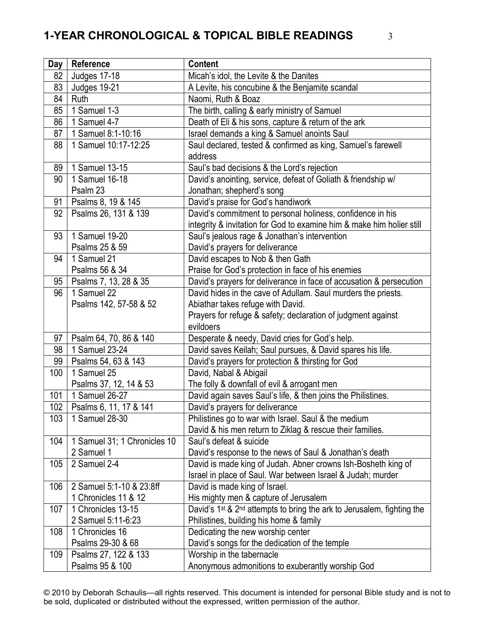| Day | Reference                    | <b>Content</b>                                                                                 |
|-----|------------------------------|------------------------------------------------------------------------------------------------|
| 82  | <b>Judges 17-18</b>          | Micah's idol, the Levite & the Danites                                                         |
| 83  | Judges 19-21                 | A Levite, his concubine & the Benjamite scandal                                                |
| 84  | Ruth                         | Naomi, Ruth & Boaz                                                                             |
| 85  | 1 Samuel $1-3$               | The birth, calling & early ministry of Samuel                                                  |
| 86  | 1 Samuel 4-7                 | Death of Eli & his sons, capture & return of the ark                                           |
| 87  | 1 Samuel 8:1-10:16           | Israel demands a king & Samuel anoints Saul                                                    |
| 88  | 1 Samuel 10:17-12:25         | Saul declared, tested & confirmed as king, Samuel's farewell                                   |
|     |                              | address                                                                                        |
| 89  | 1 Samuel 13-15               | Saul's bad decisions & the Lord's rejection                                                    |
| 90  | 1 Samuel 16-18               | David's anointing, service, defeat of Goliath & friendship w/                                  |
|     | Psalm 23                     | Jonathan; shepherd's song                                                                      |
| 91  | Psalms 8, 19 & 145           | David's praise for God's handiwork                                                             |
| 92  | Psalms 26, 131 & 139         | David's commitment to personal holiness, confidence in his                                     |
|     |                              | integrity & invitation for God to examine him & make him holier still                          |
| 93  | 1 Samuel 19-20               | Saul's jealous rage & Jonathan's intervention                                                  |
|     | Psalms 25 & 59               | David's prayers for deliverance                                                                |
| 94  | 1 Samuel 21                  | David escapes to Nob & then Gath                                                               |
|     | Psalms 56 & 34               | Praise for God's protection in face of his enemies                                             |
| 95  | Psalms 7, 13, 28 & 35        | David's prayers for deliverance in face of accusation & persecution                            |
| 96  | 1 Samuel 22                  | David hides in the cave of Adullam. Saul murders the priests.                                  |
|     | Psalms 142, 57-58 & 52       | Abiathar takes refuge with David.                                                              |
|     |                              | Prayers for refuge & safety; declaration of judgment against                                   |
|     |                              | evildoers                                                                                      |
| 97  | Psalm 64, 70, 86 & 140       | Desperate & needy, David cries for God's help.                                                 |
| 98  | 1 Samuel 23-24               | David saves Keilah; Saul pursues, & David spares his life.                                     |
| 99  | Psalms 54, 63 & 143          | David's prayers for protection & thirsting for God                                             |
| 100 | 1 Samuel 25                  | David, Nabal & Abigail                                                                         |
|     | Psalms 37, 12, 14 & 53       | The folly & downfall of evil & arrogant men                                                    |
| 101 | 1 Samuel 26-27               | David again saves Saul's life, & then joins the Philistines.                                   |
| 102 | Psalms 6, 11, 17 & 141       | David's prayers for deliverance                                                                |
| 103 | 1 Samuel 28-30               | Philistines go to war with Israel. Saul & the medium                                           |
|     |                              | David & his men return to Ziklag & rescue their families.                                      |
| 104 | 1 Samuel 31; 1 Chronicles 10 | Saul's defeat & suicide                                                                        |
|     | 2 Samuel 1                   | David's response to the news of Saul & Jonathan's death                                        |
| 105 | 2 Samuel 2-4                 | David is made king of Judah. Abner crowns Ish-Bosheth king of                                  |
|     |                              | Israel in place of Saul. War between Israel & Judah; murder                                    |
| 106 | 2 Samuel 5:1-10 & 23:8ff     | David is made king of Israel.                                                                  |
|     | 1 Chronicles 11 & 12         | His mighty men & capture of Jerusalem                                                          |
| 107 | 1 Chronicles 13-15           | David's 1 <sup>st</sup> & 2 <sup>nd</sup> attempts to bring the ark to Jerusalem, fighting the |
|     | 2 Samuel 5:11-6:23           | Philistines, building his home & family                                                        |
| 108 | 1 Chronicles 16              | Dedicating the new worship center                                                              |
|     | Psalms 29-30 & 68            | David's songs for the dedication of the temple                                                 |
| 109 | Psalms 27, 122 & 133         | Worship in the tabernacle                                                                      |
|     | Psalms 95 & 100              | Anonymous admonitions to exuberantly worship God                                               |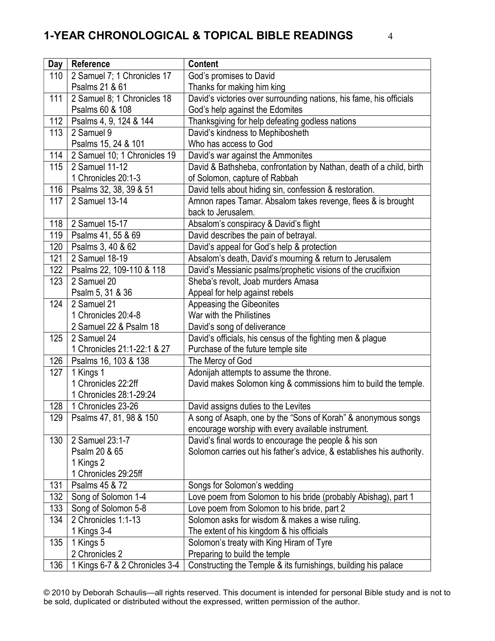| Day | Reference                      | <b>Content</b>                                                        |
|-----|--------------------------------|-----------------------------------------------------------------------|
| 110 | 2 Samuel 7; 1 Chronicles 17    | God's promises to David                                               |
|     | Psalms 21 & 61                 | Thanks for making him king                                            |
| 111 | 2 Samuel 8; 1 Chronicles 18    | David's victories over surrounding nations, his fame, his officials   |
|     | Psalms 60 & 108                | God's help against the Edomites                                       |
| 112 | Psalms 4, 9, 124 & 144         | Thanksgiving for help defeating godless nations                       |
| 113 | 2 Samuel 9                     | David's kindness to Mephibosheth                                      |
|     | Psalms 15, 24 & 101            | Who has access to God                                                 |
| 114 | 2 Samuel 10; 1 Chronicles 19   | David's war against the Ammonites                                     |
| 115 | 2 Samuel 11-12                 | David & Bathsheba, confrontation by Nathan, death of a child, birth   |
|     | 1 Chronicles 20:1-3            | of Solomon, capture of Rabbah                                         |
| 116 | Psalms 32, 38, 39 & 51         | David tells about hiding sin, confession & restoration.               |
| 117 | 2 Samuel 13-14                 | Amnon rapes Tamar. Absalom takes revenge, flees & is brought          |
|     |                                | back to Jerusalem.                                                    |
| 118 | 2 Samuel 15-17                 | Absalom's conspiracy & David's flight                                 |
| 119 | Psalms 41, 55 & 69             | David describes the pain of betrayal.                                 |
| 120 | Psalms 3, 40 & 62              | David's appeal for God's help & protection                            |
| 121 | 2 Samuel 18-19                 | Absalom's death, David's mourning & return to Jerusalem               |
| 122 | Psalms 22, 109-110 & 118       | David's Messianic psalms/prophetic visions of the crucifixion         |
| 123 | 2 Samuel 20                    | Sheba's revolt, Joab murders Amasa                                    |
|     | Psalm 5, 31 & 36               | Appeal for help against rebels                                        |
| 124 | 2 Samuel 21                    | Appeasing the Gibeonites                                              |
|     | 1 Chronicles 20:4-8            | War with the Philistines                                              |
|     | 2 Samuel 22 & Psalm 18         | David's song of deliverance                                           |
| 125 | 2 Samuel 24                    | David's officials, his census of the fighting men & plague            |
|     | 1 Chronicles 21:1-22:1 & 27    | Purchase of the future temple site                                    |
| 126 | Psalms 16, 103 & 138           | The Mercy of God                                                      |
| 127 | 1 Kings 1                      | Adonijah attempts to assume the throne.                               |
|     | 1 Chronicles 22:2ff            | David makes Solomon king & commissions him to build the temple.       |
|     | 1 Chronicles 28:1-29:24        |                                                                       |
| 128 | 1 Chronicles 23-26             | David assigns duties to the Levites                                   |
| 129 | Psalms 47, 81, 98 & 150        | A song of Asaph, one by the "Sons of Korah" & anonymous songs         |
|     |                                | encourage worship with every available instrument.                    |
| 130 | 2 Samuel 23:1-7                | David's final words to encourage the people & his son                 |
|     | Psalm 20 & 65                  | Solomon carries out his father's advice, & establishes his authority. |
|     | 1 Kings 2                      |                                                                       |
|     | 1 Chronicles 29:25ff           |                                                                       |
| 131 | Psalms 45 & 72                 | Songs for Solomon's wedding                                           |
| 132 | Song of Solomon 1-4            | Love poem from Solomon to his bride (probably Abishag), part 1        |
| 133 | Song of Solomon 5-8            | Love poem from Solomon to his bride, part 2                           |
| 134 | 2 Chronicles 1:1-13            | Solomon asks for wisdom & makes a wise ruling.                        |
|     | 1 Kings 3-4                    | The extent of his kingdom & his officials                             |
| 135 | 1 Kings 5<br>2 Chronicles 2    | Solomon's treaty with King Hiram of Tyre                              |
|     |                                | Preparing to build the temple                                         |
| 136 | 1 Kings 6-7 & 2 Chronicles 3-4 | Constructing the Temple & its furnishings, building his palace        |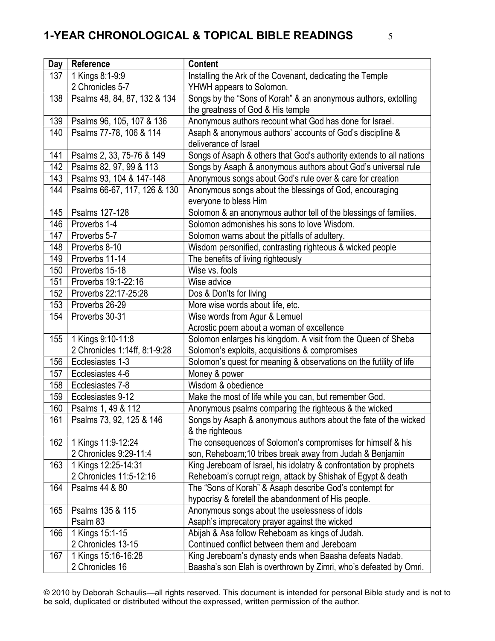| Day | Reference                     | Content                                                             |
|-----|-------------------------------|---------------------------------------------------------------------|
| 137 | 1 Kings 8:1-9:9               | Installing the Ark of the Covenant, dedicating the Temple           |
|     | 2 Chronicles 5-7              | YHWH appears to Solomon.                                            |
| 138 | Psalms 48, 84, 87, 132 & 134  | Songs by the "Sons of Korah" & an anonymous authors, extolling      |
|     |                               | the greatness of God & His temple                                   |
| 139 | Psalms 96, 105, 107 & 136     | Anonymous authors recount what God has done for Israel.             |
| 140 | Psalms 77-78, 106 & 114       | Asaph & anonymous authors' accounts of God's discipline &           |
|     |                               | deliverance of Israel                                               |
| 141 | Psalms 2, 33, 75-76 & 149     | Songs of Asaph & others that God's authority extends to all nations |
| 142 | Psalms 82, 97, 99 & 113       | Songs by Asaph & anonymous authors about God's universal rule       |
| 143 | Psalms 93, 104 & 147-148      | Anonymous songs about God's rule over & care for creation           |
| 144 | Psalms 66-67, 117, 126 & 130  | Anonymous songs about the blessings of God, encouraging             |
|     |                               | everyone to bless Him                                               |
| 145 | Psalms 127-128                | Solomon & an anonymous author tell of the blessings of families.    |
| 146 | Proverbs 1-4                  | Solomon admonishes his sons to love Wisdom.                         |
| 147 | Proverbs 5-7                  | Solomon warns about the pitfalls of adultery.                       |
| 148 | Proverbs 8-10                 | Wisdom personified, contrasting righteous & wicked people           |
| 149 | Proverbs 11-14                | The benefits of living righteously                                  |
| 150 | Proverbs 15-18                | Wise vs. fools                                                      |
| 151 | Proverbs 19:1-22:16           | Wise advice                                                         |
| 152 | Proverbs 22:17-25:28          | Dos & Don'ts for living                                             |
| 153 | Proverbs 26-29                | More wise words about life, etc.                                    |
| 154 | Proverbs 30-31                | Wise words from Agur & Lemuel                                       |
|     |                               | Acrostic poem about a woman of excellence                           |
| 155 | 1 Kings 9:10-11:8             | Solomon enlarges his kingdom. A visit from the Queen of Sheba       |
|     | 2 Chronicles 1:14ff, 8:1-9:28 | Solomon's exploits, acquisitions & compromises                      |
| 156 | Ecclesiastes 1-3              | Solomon's quest for meaning & observations on the futility of life  |
| 157 | Ecclesiastes 4-6              | Money & power                                                       |
| 158 | Ecclesiastes 7-8              | Wisdom & obedience                                                  |
| 159 | Ecclesiastes 9-12             | Make the most of life while you can, but remember God.              |
| 160 | Psalms 1, 49 & 112            | Anonymous psalms comparing the righteous & the wicked               |
| 161 | Psalms 73, 92, 125 & 146      | Songs by Asaph & anonymous authors about the fate of the wicked     |
|     |                               | & the righteous                                                     |
| 162 | 1 Kings 11:9-12:24            | The consequences of Solomon's compromises for himself & his         |
|     | 2 Chronicles 9:29-11:4        | son, Reheboam;10 tribes break away from Judah & Benjamin            |
| 163 | 1 Kings 12:25-14:31           | King Jereboam of Israel, his idolatry & confrontation by prophets   |
|     | 2 Chronicles 11:5-12:16       | Reheboam's corrupt reign, attack by Shishak of Egypt & death        |
| 164 | Psalms 44 & 80                | The "Sons of Korah" & Asaph describe God's contempt for             |
|     |                               | hypocrisy & foretell the abandonment of His people.                 |
| 165 | Psalms 135 & 115              | Anonymous songs about the uselessness of idols                      |
|     | Psalm 83                      | Asaph's imprecatory prayer against the wicked                       |
| 166 | 1 Kings 15:1-15               | Abijah & Asa follow Reheboam as kings of Judah.                     |
|     | 2 Chronicles 13-15            | Continued conflict between them and Jereboam                        |
| 167 | 1 Kings 15:16-16:28           | King Jereboam's dynasty ends when Baasha defeats Nadab.             |
|     | 2 Chronicles 16               | Baasha's son Elah is overthrown by Zimri, who's defeated by Omri.   |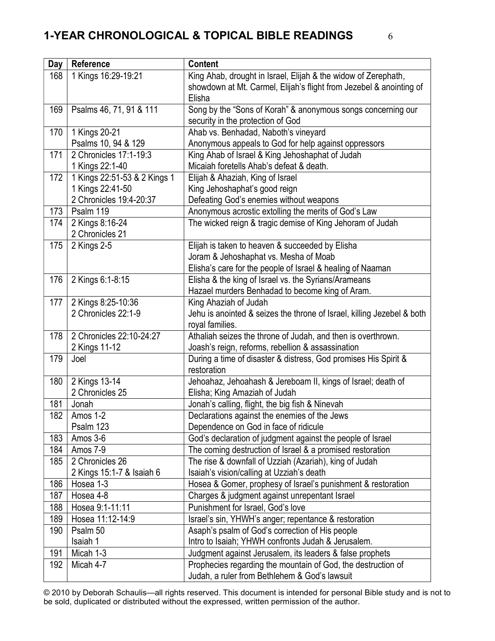| Day        | Reference                          | <b>Content</b>                                                                                                          |
|------------|------------------------------------|-------------------------------------------------------------------------------------------------------------------------|
| 168        | 1 Kings 16:29-19:21                | King Ahab, drought in Israel, Elijah & the widow of Zerephath,                                                          |
|            |                                    | showdown at Mt. Carmel, Elijah's flight from Jezebel & anointing of                                                     |
|            |                                    | Elisha                                                                                                                  |
| 169        | Psalms 46, 71, 91 & 111            | Song by the "Sons of Korah" & anonymous songs concerning our                                                            |
|            |                                    | security in the protection of God                                                                                       |
| 170        | 1 Kings 20-21                      | Ahab vs. Benhadad, Naboth's vineyard                                                                                    |
|            | Psalms 10, 94 & 129                | Anonymous appeals to God for help against oppressors                                                                    |
| 171        | 2 Chronicles 17:1-19:3             | King Ahab of Israel & King Jehoshaphat of Judah                                                                         |
|            | 1 Kings 22:1-40                    | Micaiah foretells Ahab's defeat & death.                                                                                |
| 172        | 1 Kings 22:51-53 & 2 Kings 1       | Elijah & Ahaziah, King of Israel                                                                                        |
|            | 1 Kings 22:41-50                   | King Jehoshaphat's good reign                                                                                           |
|            | 2 Chronicles 19:4-20:37            | Defeating God's enemies without weapons                                                                                 |
| 173        | Psalm 119                          | Anonymous acrostic extolling the merits of God's Law                                                                    |
| 174        | 2 Kings 8:16-24<br>2 Chronicles 21 | The wicked reign & tragic demise of King Jehoram of Judah                                                               |
| 175        | 2 Kings 2-5                        | Elijah is taken to heaven & succeeded by Elisha                                                                         |
|            |                                    | Joram & Jehoshaphat vs. Mesha of Moab                                                                                   |
|            |                                    | Elisha's care for the people of Israel & healing of Naaman                                                              |
| 176        | 2 Kings 6:1-8:15                   | Elisha & the king of Israel vs. the Syrians/Arameans                                                                    |
|            |                                    | Hazael murders Benhadad to become king of Aram.                                                                         |
| 177        | 2 Kings 8:25-10:36                 | King Ahaziah of Judah                                                                                                   |
|            | 2 Chronicles 22:1-9                | Jehu is anointed & seizes the throne of Israel, killing Jezebel & both                                                  |
|            |                                    | royal families.                                                                                                         |
| 178        | 2 Chronicles 22:10-24:27           | Athaliah seizes the throne of Judah, and then is overthrown.                                                            |
|            | 2 Kings 11-12                      | Joash's reign, reforms, rebellion & assassination                                                                       |
| 179        | Joel                               | During a time of disaster & distress, God promises His Spirit &                                                         |
|            |                                    | restoration                                                                                                             |
| 180        | 2 Kings 13-14                      | Jehoahaz, Jehoahash & Jereboam II, kings of Israel; death of                                                            |
|            | 2 Chronicles 25                    | Elisha; King Amaziah of Judah                                                                                           |
| 181<br>182 | Jonah<br>Amos 1-2                  | Jonah's calling, flight, the big fish & Ninevah                                                                         |
|            | Psalm 123                          | Declarations against the enemies of the Jews<br>Dependence on God in face of ridicule                                   |
| 183        | Amos 3-6                           |                                                                                                                         |
| 184        | Amos 7-9                           | God's declaration of judgment against the people of Israel<br>The coming destruction of Israel & a promised restoration |
| 185        | 2 Chronicles 26                    | The rise & downfall of Uzziah (Azariah), king of Judah                                                                  |
|            | 2 Kings 15:1-7 & Isaiah 6          | Isaiah's vision/calling at Uzziah's death                                                                               |
| 186        | Hosea 1-3                          | Hosea & Gomer, prophesy of Israel's punishment & restoration                                                            |
| 187        | Hosea 4-8                          | Charges & judgment against unrepentant Israel                                                                           |
| 188        | Hosea 9:1-11:11                    | Punishment for Israel, God's love                                                                                       |
| 189        | Hosea 11:12-14:9                   | Israel's sin, YHWH's anger; repentance & restoration                                                                    |
| 190        | Psalm 50                           | Asaph's psalm of God's correction of His people                                                                         |
|            | Isaiah 1                           | Intro to Isaiah; YHWH confronts Judah & Jerusalem.                                                                      |
| 191        | Micah 1-3                          | Judgment against Jerusalem, its leaders & false prophets                                                                |
| 192        | Micah 4-7                          | Prophecies regarding the mountain of God, the destruction of                                                            |
|            |                                    | Judah, a ruler from Bethlehem & God's lawsuit                                                                           |
|            |                                    |                                                                                                                         |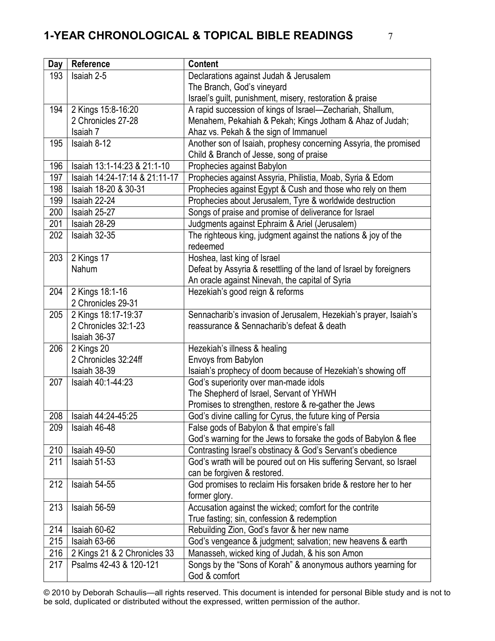| Day | Reference                     | <b>Content</b>                                                     |
|-----|-------------------------------|--------------------------------------------------------------------|
| 193 | Isaiah 2-5                    | Declarations against Judah & Jerusalem                             |
|     |                               | The Branch, God's vineyard                                         |
|     |                               | Israel's guilt, punishment, misery, restoration & praise           |
| 194 | 2 Kings 15:8-16:20            | A rapid succession of kings of Israel-Zechariah, Shallum,          |
|     | 2 Chronicles 27-28            | Menahem, Pekahiah & Pekah; Kings Jotham & Ahaz of Judah;           |
|     | Isaiah 7                      | Ahaz vs. Pekah & the sign of Immanuel                              |
| 195 | Isaiah 8-12                   | Another son of Isaiah, prophesy concerning Assyria, the promised   |
|     |                               | Child & Branch of Jesse, song of praise                            |
| 196 | Isaiah 13:1-14:23 & 21:1-10   | Prophecies against Babylon                                         |
| 197 | Isaiah 14:24-17:14 & 21:11-17 | Prophecies against Assyria, Philistia, Moab, Syria & Edom          |
| 198 | Isaiah 18-20 & 30-31          | Prophecies against Egypt & Cush and those who rely on them         |
| 199 | Isaiah 22-24                  | Prophecies about Jerusalem, Tyre & worldwide destruction           |
| 200 | Isaiah 25-27                  | Songs of praise and promise of deliverance for Israel              |
| 201 | Isaiah 28-29                  | Judgments against Ephraim & Ariel (Jerusalem)                      |
| 202 | Isaiah 32-35                  | The righteous king, judgment against the nations & joy of the      |
|     |                               | redeemed                                                           |
| 203 | 2 Kings 17                    | Hoshea, last king of Israel                                        |
|     | Nahum                         | Defeat by Assyria & resettling of the land of Israel by foreigners |
|     |                               | An oracle against Ninevah, the capital of Syria                    |
| 204 | 2 Kings 18:1-16               | Hezekiah's good reign & reforms                                    |
|     | 2 Chronicles 29-31            |                                                                    |
| 205 | 2 Kings 18:17-19:37           | Sennacharib's invasion of Jerusalem, Hezekiah's prayer, Isaiah's   |
|     | 2 Chronicles 32:1-23          | reassurance & Sennacharib's defeat & death                         |
|     | Isaiah 36-37                  |                                                                    |
| 206 | 2 Kings 20                    | Hezekiah's illness & healing                                       |
|     | 2 Chronicles 32:24ff          | Envoys from Babylon                                                |
|     | Isaiah 38-39                  | Isaiah's prophecy of doom because of Hezekiah's showing off        |
| 207 | Isaiah 40:1-44:23             | God's superiority over man-made idols                              |
|     |                               | The Shepherd of Israel, Servant of YHWH                            |
|     |                               | Promises to strengthen, restore & re-gather the Jews               |
| 208 | Isaiah 44:24-45:25            | God's divine calling for Cyrus, the future king of Persia          |
| 209 | Isaiah 46-48                  | False gods of Babylon & that empire's fall                         |
|     |                               | God's warning for the Jews to forsake the gods of Babylon & flee   |
| 210 | Isaiah 49-50                  | Contrasting Israel's obstinacy & God's Servant's obedience         |
| 211 | Isaiah 51-53                  | God's wrath will be poured out on His suffering Servant, so Israel |
|     |                               | can be forgiven & restored.                                        |
| 212 | Isaiah 54-55                  | God promises to reclaim His forsaken bride & restore her to her    |
|     |                               | former glory.                                                      |
| 213 | Isaiah 56-59                  | Accusation against the wicked; comfort for the contrite            |
| 214 | Isaiah 60-62                  | True fasting; sin, confession & redemption                         |
| 215 |                               | Rebuilding Zion, God's favor & her new name                        |
|     | Isaiah 63-66                  | God's vengeance & judgment; salvation; new heavens & earth         |
| 216 | 2 Kings 21 & 2 Chronicles 33  | Manasseh, wicked king of Judah, & his son Amon                     |
| 217 | Psalms 42-43 & 120-121        | Songs by the "Sons of Korah" & anonymous authors yearning for      |
|     |                               | God & comfort                                                      |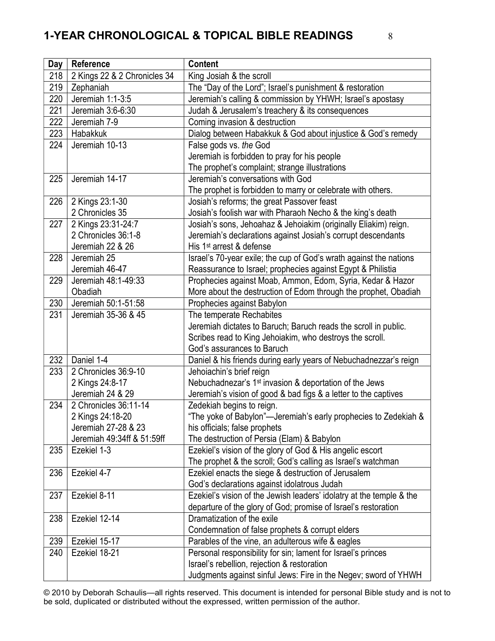| <b>Day</b> | Reference                    | <b>Content</b>                                                       |
|------------|------------------------------|----------------------------------------------------------------------|
| 218        | 2 Kings 22 & 2 Chronicles 34 | King Josiah & the scroll                                             |
| 219        | Zephaniah                    | The "Day of the Lord"; Israel's punishment & restoration             |
| 220        | Jeremiah 1:1-3:5             | Jeremiah's calling & commission by YHWH; Israel's apostasy           |
| 221        | Jeremiah 3:6-6:30            | Judah & Jerusalem's treachery & its consequences                     |
| 222        | Jeremiah 7-9                 | Coming invasion & destruction                                        |
| 223        | Habakkuk                     | Dialog between Habakkuk & God about injustice & God's remedy         |
| 224        | Jeremiah 10-13               | False gods vs. the God                                               |
|            |                              | Jeremiah is forbidden to pray for his people                         |
|            |                              | The prophet's complaint; strange illustrations                       |
| 225        | Jeremiah 14-17               | Jeremiah's conversations with God                                    |
|            |                              | The prophet is forbidden to marry or celebrate with others.          |
| 226        | 2 Kings 23:1-30              | Josiah's reforms; the great Passover feast                           |
|            | 2 Chronicles 35              | Josiah's foolish war with Pharaoh Necho & the king's death           |
| 227        | 2 Kings 23:31-24:7           | Josiah's sons, Jehoahaz & Jehoiakim (originally Eliakim) reign.      |
|            | 2 Chronicles 36:1-8          | Jeremiah's declarations against Josiah's corrupt descendants         |
|            | Jeremiah 22 & 26             | His 1 <sup>st</sup> arrest & defense                                 |
| 228        | Jeremiah 25                  | Israel's 70-year exile; the cup of God's wrath against the nations   |
|            | Jeremiah 46-47               | Reassurance to Israel; prophecies against Egypt & Philistia          |
| 229        | Jeremiah 48:1-49:33          | Prophecies against Moab, Ammon, Edom, Syria, Kedar & Hazor           |
|            | Obadiah                      | More about the destruction of Edom through the prophet, Obadiah      |
| 230        | Jeremiah 50:1-51:58          | Prophecies against Babylon                                           |
| 231        | Jeremiah 35-36 & 45          | The temperate Rechabites                                             |
|            |                              | Jeremiah dictates to Baruch; Baruch reads the scroll in public.      |
|            |                              | Scribes read to King Jehoiakim, who destroys the scroll.             |
|            |                              | God's assurances to Baruch                                           |
| 232        | Daniel 1-4                   | Daniel & his friends during early years of Nebuchadnezzar's reign    |
| 233        | 2 Chronicles 36:9-10         | Jehoiachin's brief reign                                             |
|            | 2 Kings 24:8-17              | Nebuchadnezar's 1 <sup>st</sup> invasion & deportation of the Jews   |
|            | Jeremiah 24 & 29             | Jeremiah's vision of good & bad figs & a letter to the captives      |
| 234        | 2 Chronicles 36:11-14        | Zedekiah begins to reign.                                            |
|            | 2 Kings 24:18-20             | "The yoke of Babylon"—Jeremiah's early prophecies to Zedekiah &      |
|            | Jeremiah 27-28 & 23          | his officials; false prophets                                        |
|            | Jeremiah 49:34ff & 51:59ff   | The destruction of Persia (Elam) & Babylon                           |
| 235        | Ezekiel 1-3                  | Ezekiel's vision of the glory of God & His angelic escort            |
|            |                              | The prophet & the scroll; God's calling as Israel's watchman         |
| 236        | Ezekiel 4-7                  | Ezekiel enacts the siege & destruction of Jerusalem                  |
|            |                              | God's declarations against idolatrous Judah                          |
| 237        | Ezekiel 8-11                 | Ezekiel's vision of the Jewish leaders' idolatry at the temple & the |
|            |                              | departure of the glory of God; promise of Israel's restoration       |
| 238        | Ezekiel 12-14                | Dramatization of the exile                                           |
|            |                              | Condemnation of false prophets & corrupt elders                      |
| 239        | Ezekiel 15-17                | Parables of the vine, an adulterous wife & eagles                    |
| 240        | Ezekiel 18-21                | Personal responsibility for sin; lament for Israel's princes         |
|            |                              | Israel's rebellion, rejection & restoration                          |
|            |                              | Judgments against sinful Jews: Fire in the Negev; sword of YHWH      |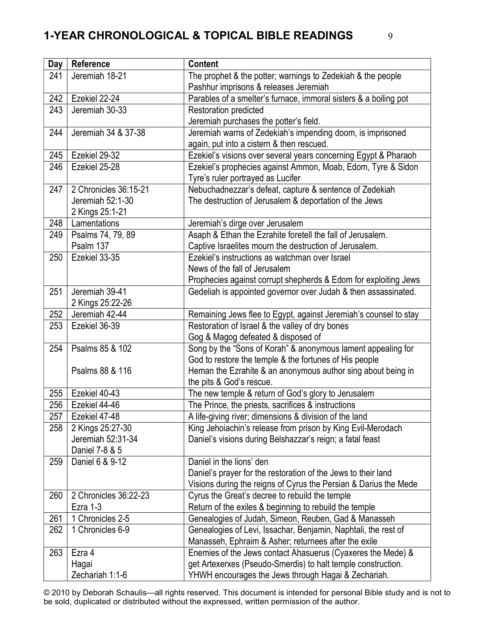| <b>Day</b> | Reference             | <b>Content</b>                                                                                                         |
|------------|-----------------------|------------------------------------------------------------------------------------------------------------------------|
| 241        | Jeremiah 18-21        | The prophet & the potter; warnings to Zedekiah & the people                                                            |
|            |                       | Pashhur imprisons & releases Jeremiah                                                                                  |
| 242        | Ezekiel 22-24         | Parables of a smelter's furnace, immoral sisters & a boiling pot                                                       |
| 243        | Jeremiah 30-33        | Restoration predicted                                                                                                  |
|            |                       | Jeremiah purchases the potter's field.                                                                                 |
| 244        | Jeremiah 34 & 37-38   | Jeremiah warns of Zedekiah's impending doom, is imprisoned                                                             |
|            |                       | again, put into a cistern & then rescued.                                                                              |
| 245        | Ezekiel 29-32         | Ezekiel's visions over several years concerning Egypt & Pharaoh                                                        |
| 246        | Ezekiel 25-28         | Ezekiel's prophecies against Ammon, Moab, Edom, Tyre & Sidon                                                           |
|            |                       | Tyre's ruler portrayed as Lucifer                                                                                      |
| 247        | 2 Chronicles 36:15-21 | Nebuchadnezzar's defeat, capture & sentence of Zedekiah                                                                |
|            | Jeremiah 52:1-30      | The destruction of Jerusalem & deportation of the Jews                                                                 |
|            | 2 Kings 25:1-21       |                                                                                                                        |
| 248        | Lamentations          | Jeremiah's dirge over Jerusalem                                                                                        |
| 249        | Psalms 74, 79, 89     | Asaph & Ethan the Ezrahite foretell the fall of Jerusalem.                                                             |
|            | Psalm 137             | Captive Israelites mourn the destruction of Jerusalem.                                                                 |
| 250        | Ezekiel 33-35         | Ezekiel's instructions as watchman over Israel                                                                         |
|            |                       | News of the fall of Jerusalem                                                                                          |
|            |                       | Prophecies against corrupt shepherds & Edom for exploiting Jews                                                        |
| 251        | Jeremiah 39-41        | Gedeliah is appointed governor over Judah & then assassinated.                                                         |
|            | 2 Kings 25:22-26      |                                                                                                                        |
| 252        | Jeremiah 42-44        | Remaining Jews flee to Egypt, against Jeremiah's counsel to stay                                                       |
| 253        | Ezekiel 36-39         | Restoration of Israel & the valley of dry bones                                                                        |
|            |                       | Gog & Magog defeated & disposed of                                                                                     |
| 254        | Psalms 85 & 102       | Song by the "Sons of Korah" & anonymous lament appealing for                                                           |
|            |                       | God to restore the temple & the fortunes of His people                                                                 |
|            | Psalms 88 & 116       | Heman the Ezrahite & an anonymous author sing about being in                                                           |
|            |                       | the pits & God's rescue.                                                                                               |
| 255        | Ezekiel 40-43         | The new temple & return of God's glory to Jerusalem                                                                    |
| 256        | Ezekiel 44-46         | The Prince, the priests, sacrifices & instructions                                                                     |
| 257        | Ezekiel 47-48         | A life-giving river; dimensions & division of the land                                                                 |
| 258        | 2 Kings 25:27-30      | King Jehoiachin's release from prison by King Evil-Merodach                                                            |
|            | Jeremiah 52:31-34     | Daniel's visions during Belshazzar's reign; a fatal feast                                                              |
|            | Daniel 7-8 & 5        | Daniel in the lions' den                                                                                               |
| 259        | Daniel 6 & 9-12       |                                                                                                                        |
|            |                       | Daniel's prayer for the restoration of the Jews to their land                                                          |
| 260        | 2 Chronicles 36:22-23 | Visions during the reigns of Cyrus the Persian & Darius the Mede<br>Cyrus the Great's decree to rebuild the temple     |
|            | Ezra 1-3              |                                                                                                                        |
| 261        | 1 Chronicles 2-5      | Return of the exiles & beginning to rebuild the temple<br>Genealogies of Judah, Simeon, Reuben, Gad & Manasseh         |
| 262        | 1 Chronicles 6-9      |                                                                                                                        |
|            |                       | Genealogies of Levi, Issachar, Benjamin, Naphtali, the rest of<br>Manasseh, Ephraim & Asher; returnees after the exile |
| 263        | Ezra 4                | Enemies of the Jews contact Ahasuerus (Cyaxeres the Mede) &                                                            |
|            | Hagai                 | get Artexerxes (Pseudo-Smerdis) to halt temple construction.                                                           |
|            |                       |                                                                                                                        |
|            | Zechariah 1:1-6       | YHWH encourages the Jews through Hagai & Zechariah.                                                                    |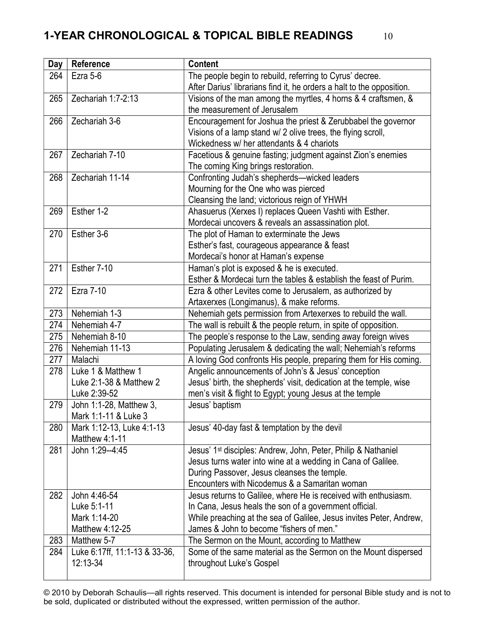| Day | Reference                                   | <b>Content</b>                                                            |
|-----|---------------------------------------------|---------------------------------------------------------------------------|
| 264 | Ezra 5-6                                    | The people begin to rebuild, referring to Cyrus' decree.                  |
|     |                                             | After Darius' librarians find it, he orders a halt to the opposition.     |
| 265 | Zechariah 1:7-2:13                          | Visions of the man among the myrtles, 4 horns & 4 craftsmen, &            |
|     |                                             | the measurement of Jerusalem                                              |
| 266 | Zechariah 3-6                               | Encouragement for Joshua the priest & Zerubbabel the governor             |
|     |                                             | Visions of a lamp stand w/ 2 olive trees, the flying scroll,              |
|     |                                             | Wickedness w/ her attendants & 4 chariots                                 |
| 267 | Zechariah 7-10                              | Facetious & genuine fasting; judgment against Zion's enemies              |
|     |                                             | The coming King brings restoration.                                       |
| 268 | Zechariah 11-14                             | Confronting Judah's shepherds-wicked leaders                              |
|     |                                             | Mourning for the One who was pierced                                      |
|     |                                             | Cleansing the land; victorious reign of YHWH                              |
| 269 | Esther 1-2                                  | Ahasuerus (Xerxes I) replaces Queen Vashti with Esther.                   |
|     |                                             | Mordecai uncovers & reveals an assassination plot.                        |
| 270 | Esther 3-6                                  | The plot of Haman to exterminate the Jews                                 |
|     |                                             | Esther's fast, courageous appearance & feast                              |
|     |                                             | Mordecai's honor at Haman's expense                                       |
| 271 | Esther 7-10                                 | Haman's plot is exposed & he is executed.                                 |
|     |                                             | Esther & Mordecai turn the tables & establish the feast of Purim.         |
| 272 | <b>Ezra 7-10</b>                            | Ezra & other Levites come to Jerusalem, as authorized by                  |
|     |                                             | Artaxerxes (Longimanus), & make reforms.                                  |
| 273 | Nehemiah 1-3                                | Nehemiah gets permission from Artexerxes to rebuild the wall.             |
| 274 | Nehemiah 4-7                                | The wall is rebuilt & the people return, in spite of opposition.          |
| 275 | Nehemiah 8-10                               | The people's response to the Law, sending away foreign wives              |
| 276 | Nehemiah 11-13                              | Populating Jerusalem & dedicating the wall; Nehemiah's reforms            |
| 277 | Malachi                                     | A loving God confronts His people, preparing them for His coming.         |
| 278 | Luke 1 & Matthew 1                          | Angelic announcements of John's & Jesus' conception                       |
|     | Luke 2:1-38 & Matthew 2                     | Jesus' birth, the shepherds' visit, dedication at the temple, wise        |
|     | Luke 2:39-52                                | men's visit & flight to Egypt; young Jesus at the temple                  |
| 279 | John 1:1-28, Matthew 3,                     | Jesus' baptism                                                            |
|     | Mark 1:1-11 & Luke 3                        |                                                                           |
| 280 | Mark 1:12-13, Luke 4:1-13<br>Matthew 4:1-11 | Jesus' 40-day fast & temptation by the devil                              |
| 281 | John 1:29--4:45                             | Jesus' 1 <sup>st</sup> disciples: Andrew, John, Peter, Philip & Nathaniel |
|     |                                             | Jesus turns water into wine at a wedding in Cana of Galilee.              |
|     |                                             | During Passover, Jesus cleanses the temple.                               |
|     |                                             | Encounters with Nicodemus & a Samaritan woman                             |
| 282 | John 4:46-54                                | Jesus returns to Galilee, where He is received with enthusiasm.           |
|     | Luke 5:1-11                                 | In Cana, Jesus heals the son of a government official.                    |
|     | Mark 1:14-20                                | While preaching at the sea of Galilee, Jesus invites Peter, Andrew,       |
|     | Matthew 4:12-25                             | James & John to become "fishers of men."                                  |
| 283 | Matthew 5-7                                 | The Sermon on the Mount, according to Matthew                             |
| 284 | Luke 6:17ff, 11:1-13 & 33-36,               | Some of the same material as the Sermon on the Mount dispersed            |
|     | 12:13-34                                    | throughout Luke's Gospel                                                  |
|     |                                             |                                                                           |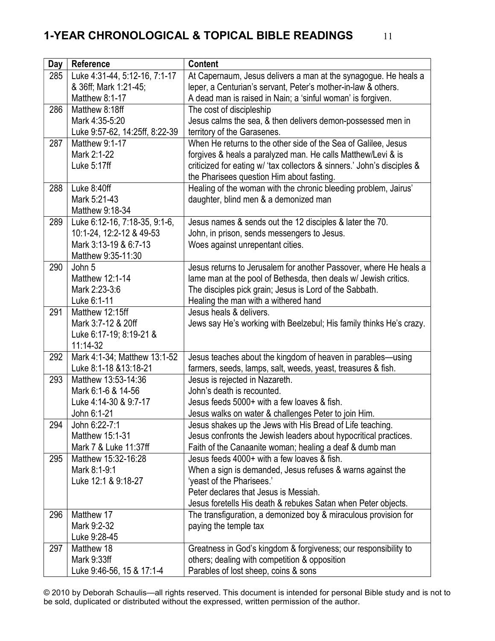| Day | <b>Reference</b>                                  | <b>Content</b>                                                                                                                   |
|-----|---------------------------------------------------|----------------------------------------------------------------------------------------------------------------------------------|
| 285 | Luke 4:31-44, 5:12-16, 7:1-17                     | At Capernaum, Jesus delivers a man at the synagogue. He heals a                                                                  |
|     | & 36ff; Mark 1:21-45;                             | leper, a Centurian's servant, Peter's mother-in-law & others.                                                                    |
|     | Matthew 8:1-17                                    | A dead man is raised in Nain; a 'sinful woman' is forgiven.                                                                      |
| 286 | Matthew 8:18ff                                    | The cost of discipleship                                                                                                         |
|     | Mark 4:35-5:20                                    | Jesus calms the sea, & then delivers demon-possessed men in                                                                      |
|     | Luke 9:57-62, 14:25ff, 8:22-39                    | territory of the Garasenes.                                                                                                      |
| 287 | Matthew 9:1-17                                    | When He returns to the other side of the Sea of Galilee, Jesus                                                                   |
|     | Mark 2:1-22                                       | forgives & heals a paralyzed man. He calls Matthew/Levi & is                                                                     |
|     | Luke 5:17ff                                       | criticized for eating w/ 'tax collectors & sinners.' John's disciples &                                                          |
|     |                                                   | the Pharisees question Him about fasting.                                                                                        |
| 288 | Luke 8:40ff                                       | Healing of the woman with the chronic bleeding problem, Jairus'                                                                  |
|     | Mark 5:21-43                                      | daughter, blind men & a demonized man                                                                                            |
|     | Matthew 9:18-34                                   |                                                                                                                                  |
| 289 | Luke 6:12-16, 7:18-35, 9:1-6,                     | Jesus names & sends out the 12 disciples & later the 70.                                                                         |
|     | 10:1-24, 12:2-12 & 49-53<br>Mark 3:13-19 & 6:7-13 | John, in prison, sends messengers to Jesus.                                                                                      |
|     | Matthew 9:35-11:30                                | Woes against unrepentant cities.                                                                                                 |
| 290 | John 5                                            | Jesus returns to Jerusalem for another Passover, where He heals a                                                                |
|     | Matthew 12:1-14                                   | lame man at the pool of Bethesda, then deals w/ Jewish critics.                                                                  |
|     | Mark 2:23-3:6                                     | The disciples pick grain; Jesus is Lord of the Sabbath.                                                                          |
|     | Luke 6:1-11                                       | Healing the man with a withered hand                                                                                             |
| 291 | Matthew 12:15ff                                   | Jesus heals & delivers.                                                                                                          |
|     | Mark 3:7-12 & 20ff                                | Jews say He's working with Beelzebul; His family thinks He's crazy.                                                              |
|     | Luke 6:17-19; 8:19-21 &                           |                                                                                                                                  |
|     | $11:14-32$                                        |                                                                                                                                  |
| 292 | Mark 4:1-34; Matthew 13:1-52                      | Jesus teaches about the kingdom of heaven in parables-using                                                                      |
|     | Luke 8:1-18 & 13:18-21                            | farmers, seeds, lamps, salt, weeds, yeast, treasures & fish.                                                                     |
| 293 | Matthew 13:53-14:36                               | Jesus is rejected in Nazareth.                                                                                                   |
|     | Mark 6:1-6 & 14-56                                | John's death is recounted.                                                                                                       |
|     | Luke 4:14-30 & 9:7-17                             | Jesus feeds 5000+ with a few loaves & fish.                                                                                      |
|     | John 6:1-21                                       | Jesus walks on water & challenges Peter to join Him.                                                                             |
| 294 | John 6:22-7:1                                     | Jesus shakes up the Jews with His Bread of Life teaching.                                                                        |
|     | Matthew 15:1-31                                   | Jesus confronts the Jewish leaders about hypocritical practices.                                                                 |
|     | Mark 7 & Luke 11:37ff                             | Faith of the Canaanite woman; healing a deaf & dumb man                                                                          |
| 295 | Matthew 15:32-16:28                               | Jesus feeds 4000+ with a few loaves & fish.                                                                                      |
|     | Mark 8:1-9:1                                      | When a sign is demanded, Jesus refuses & warns against the                                                                       |
|     | Luke 12:1 & 9:18-27                               | 'yeast of the Pharisees.'                                                                                                        |
|     |                                                   | Peter declares that Jesus is Messiah.                                                                                            |
| 296 | Matthew 17                                        | Jesus foretells His death & rebukes Satan when Peter objects.<br>The transfiguration, a demonized boy & miraculous provision for |
|     | Mark 9:2-32                                       | paying the temple tax                                                                                                            |
|     | Luke 9:28-45                                      |                                                                                                                                  |
| 297 | Matthew 18                                        | Greatness in God's kingdom & forgiveness; our responsibility to                                                                  |
|     | Mark 9:33ff                                       | others; dealing with competition & opposition                                                                                    |
|     |                                                   |                                                                                                                                  |
|     | Luke 9:46-56, 15 & 17:1-4                         | Parables of lost sheep, coins & sons                                                                                             |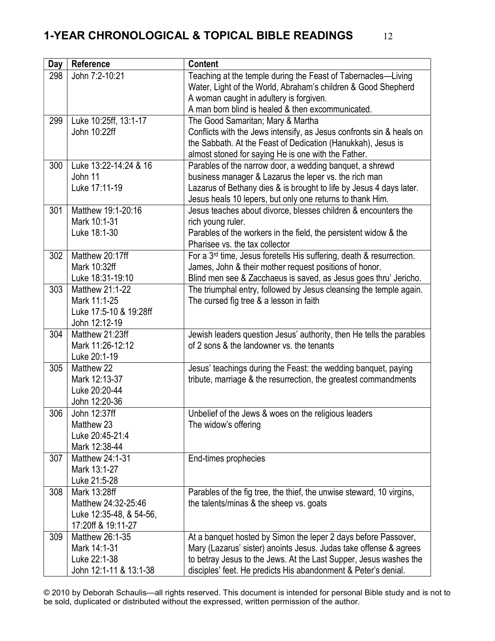| <b>Day</b> | Reference                                     | <b>Content</b>                                                                   |
|------------|-----------------------------------------------|----------------------------------------------------------------------------------|
| 298        | John 7:2-10:21                                | Teaching at the temple during the Feast of Tabernacles-Living                    |
|            |                                               | Water, Light of the World, Abraham's children & Good Shepherd                    |
|            |                                               | A woman caught in adultery is forgiven.                                          |
|            |                                               | A man born blind is healed & then excommunicated.                                |
| 299        | Luke 10:25ff, 13:1-17                         | The Good Samaritan; Mary & Martha                                                |
|            | John 10:22ff                                  | Conflicts with the Jews intensify, as Jesus confronts sin & heals on             |
|            |                                               | the Sabbath. At the Feast of Dedication (Hanukkah), Jesus is                     |
|            |                                               | almost stoned for saying He is one with the Father.                              |
| 300        | Luke 13:22-14:24 & 16                         | Parables of the narrow door, a wedding banquet, a shrewd                         |
|            | John 11                                       | business manager & Lazarus the leper vs. the rich man                            |
|            | Luke 17:11-19                                 | Lazarus of Bethany dies & is brought to life by Jesus 4 days later.              |
|            |                                               | Jesus heals 10 lepers, but only one returns to thank Him.                        |
| 301        | Matthew 19:1-20:16                            | Jesus teaches about divorce, blesses children & encounters the                   |
|            | Mark 10:1-31                                  | rich young ruler.                                                                |
|            | Luke 18:1-30                                  | Parables of the workers in the field, the persistent widow & the                 |
|            |                                               | Pharisee vs. the tax collector                                                   |
| 302        | Matthew 20:17ff                               | For a 3 <sup>rd</sup> time, Jesus foretells His suffering, death & resurrection. |
|            | Mark 10:32ff                                  | James, John & their mother request positions of honor.                           |
|            | Luke 18:31-19:10                              | Blind men see & Zacchaeus is saved, as Jesus goes thru' Jericho.                 |
| 303        | Matthew 21:1-22                               | The triumphal entry, followed by Jesus cleansing the temple again.               |
|            | Mark 11:1-25                                  | The cursed fig tree & a lesson in faith                                          |
|            | Luke 17:5-10 & 19:28ff                        |                                                                                  |
|            | John 12:12-19                                 |                                                                                  |
| 304        | Matthew 21:23ff                               | Jewish leaders question Jesus' authority, then He tells the parables             |
|            | Mark 11:26-12:12                              | of 2 sons & the landowner vs. the tenants                                        |
|            | Luke 20:1-19                                  |                                                                                  |
| 305        | Matthew 22                                    | Jesus' teachings during the Feast: the wedding banquet, paying                   |
|            | Mark 12:13-37                                 | tribute, marriage & the resurrection, the greatest commandments                  |
|            | Luke 20:20-44                                 |                                                                                  |
|            | John 12:20-36                                 |                                                                                  |
| 306        | John 12:37ff                                  | Unbelief of the Jews & woes on the religious leaders                             |
|            | Matthew 23<br>Luke 20:45-21:4                 | The widow's offering                                                             |
|            | Mark 12:38-44                                 |                                                                                  |
| 307        | Matthew 24:1-31                               | End-times prophecies                                                             |
|            | Mark 13:1-27                                  |                                                                                  |
|            | Luke 21:5-28                                  |                                                                                  |
| 308        | Mark 13:28ff                                  |                                                                                  |
|            | Matthew 24:32-25:46                           | Parables of the fig tree, the thief, the unwise steward, 10 virgins,             |
|            |                                               | the talents/minas & the sheep vs. goats                                          |
|            | Luke 12:35-48, & 54-56,<br>17:20ff & 19:11-27 |                                                                                  |
| 309        | Matthew 26:1-35                               | At a banquet hosted by Simon the leper 2 days before Passover,                   |
|            | Mark 14:1-31                                  | Mary (Lazarus' sister) anoints Jesus. Judas take offense & agrees                |
|            | Luke 22:1-38                                  | to betray Jesus to the Jews. At the Last Supper, Jesus washes the                |
|            | John 12:1-11 & 13:1-38                        | disciples' feet. He predicts His abandonment & Peter's denial.                   |
|            |                                               |                                                                                  |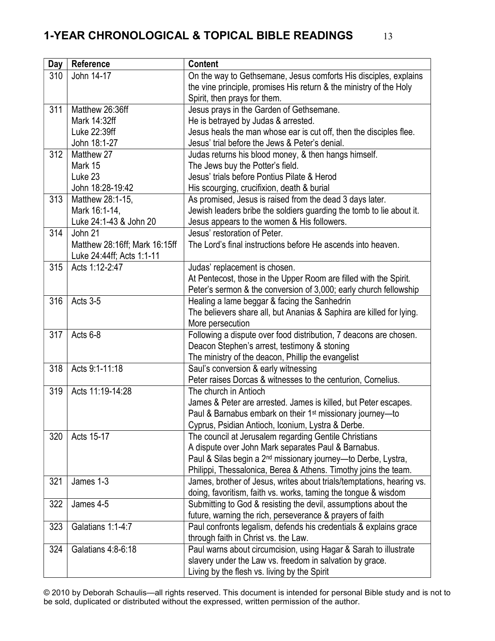| Day | Reference                     | <b>Content</b>                                                                                                                   |
|-----|-------------------------------|----------------------------------------------------------------------------------------------------------------------------------|
| 310 | John 14-17                    | On the way to Gethsemane, Jesus comforts His disciples, explains                                                                 |
|     |                               | the vine principle, promises His return & the ministry of the Holy                                                               |
|     |                               | Spirit, then prays for them.                                                                                                     |
| 311 | Matthew 26:36ff               | Jesus prays in the Garden of Gethsemane.                                                                                         |
|     | Mark 14:32ff                  | He is betrayed by Judas & arrested.                                                                                              |
|     | Luke 22:39ff                  | Jesus heals the man whose ear is cut off, then the disciples flee.                                                               |
|     | John 18:1-27                  | Jesus' trial before the Jews & Peter's denial.                                                                                   |
| 312 | Matthew 27                    | Judas returns his blood money, & then hangs himself.                                                                             |
|     | Mark 15                       | The Jews buy the Potter's field.                                                                                                 |
|     | Luke 23                       | Jesus' trials before Pontius Pilate & Herod                                                                                      |
|     | John 18:28-19:42              | His scourging, crucifixion, death & burial                                                                                       |
| 313 | Matthew 28:1-15,              | As promised, Jesus is raised from the dead 3 days later.                                                                         |
|     | Mark 16:1-14,                 | Jewish leaders bribe the soldiers guarding the tomb to lie about it.                                                             |
|     | Luke 24:1-43 & John 20        | Jesus appears to the women & His followers.                                                                                      |
| 314 | John 21                       | Jesus' restoration of Peter.                                                                                                     |
|     | Matthew 28:16ff; Mark 16:15ff | The Lord's final instructions before He ascends into heaven.                                                                     |
|     | Luke 24:44ff; Acts 1:1-11     |                                                                                                                                  |
| 315 | Acts 1:12-2:47                | Judas' replacement is chosen.                                                                                                    |
|     |                               | At Pentecost, those in the Upper Room are filled with the Spirit.                                                                |
|     |                               | Peter's sermon & the conversion of 3,000; early church fellowship                                                                |
| 316 | Acts 3-5                      | Healing a lame beggar & facing the Sanhedrin                                                                                     |
|     |                               | The believers share all, but Ananias & Saphira are killed for lying.                                                             |
|     |                               | More persecution                                                                                                                 |
| 317 | Acts 6-8                      | Following a dispute over food distribution, 7 deacons are chosen.                                                                |
|     |                               | Deacon Stephen's arrest, testimony & stoning                                                                                     |
|     |                               | The ministry of the deacon, Phillip the evangelist                                                                               |
| 318 | Acts 9:1-11:18                | Saul's conversion & early witnessing                                                                                             |
|     |                               | Peter raises Dorcas & witnesses to the centurion, Cornelius.                                                                     |
| 319 | Acts 11:19-14:28              | The church in Antioch                                                                                                            |
|     |                               | James & Peter are arrested. James is killed, but Peter escapes.                                                                  |
|     |                               | Paul & Barnabus embark on their 1 <sup>st</sup> missionary journey-to                                                            |
|     | Acts 15-17                    | Cyprus, Psidian Antioch, Iconium, Lystra & Derbe.                                                                                |
| 320 |                               | The council at Jerusalem regarding Gentile Christians                                                                            |
|     |                               | A dispute over John Mark separates Paul & Barnabus.                                                                              |
|     |                               | Paul & Silas begin a 2 <sup>nd</sup> missionary journey—to Derbe, Lystra,                                                        |
| 321 | James 1-3                     | Philippi, Thessalonica, Berea & Athens. Timothy joins the team.                                                                  |
|     |                               | James, brother of Jesus, writes about trials/temptations, hearing vs.                                                            |
| 322 | James 4-5                     | doing, favoritism, faith vs. works, taming the tongue & wisdom<br>Submitting to God & resisting the devil, assumptions about the |
|     |                               | future, warning the rich, perseverance & prayers of faith                                                                        |
| 323 | Galatians 1:1-4:7             | Paul confronts legalism, defends his credentials & explains grace                                                                |
|     |                               | through faith in Christ vs. the Law.                                                                                             |
| 324 | Galatians 4:8-6:18            | Paul warns about circumcision, using Hagar & Sarah to illustrate                                                                 |
|     |                               | slavery under the Law vs. freedom in salvation by grace.                                                                         |
|     |                               |                                                                                                                                  |
|     |                               | Living by the flesh vs. living by the Spirit                                                                                     |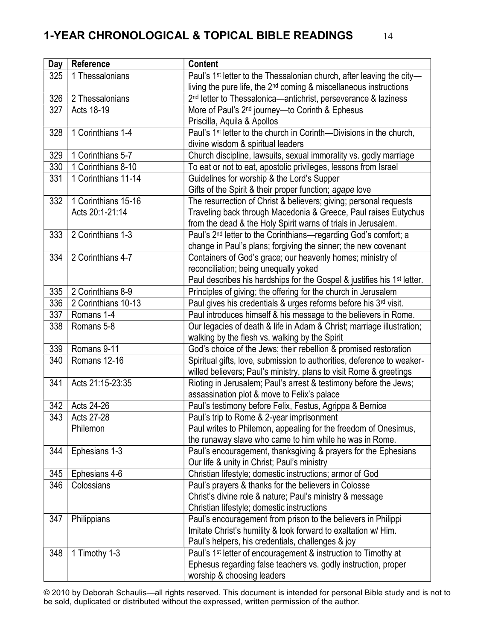| Day | Reference           | <b>Content</b>                                                                      |
|-----|---------------------|-------------------------------------------------------------------------------------|
| 325 | 1 Thessalonians     | Paul's 1 <sup>st</sup> letter to the Thessalonian church, after leaving the city-   |
|     |                     | living the pure life, the 2 <sup>nd</sup> coming & miscellaneous instructions       |
| 326 | 2 Thessalonians     | 2 <sup>nd</sup> letter to Thessalonica-antichrist, perseverance & laziness          |
| 327 | Acts 18-19          | More of Paul's 2 <sup>nd</sup> journey-to Corinth & Ephesus                         |
|     |                     | Priscilla, Aquila & Apollos                                                         |
| 328 | 1 Corinthians 1-4   | Paul's 1 <sup>st</sup> letter to the church in Corinth-Divisions in the church,     |
|     |                     | divine wisdom & spiritual leaders                                                   |
| 329 | 1 Corinthians 5-7   | Church discipline, lawsuits, sexual immorality vs. godly marriage                   |
| 330 | 1 Corinthians 8-10  | To eat or not to eat, apostolic privileges, lessons from Israel                     |
| 331 | 1 Corinthians 11-14 | Guidelines for worship & the Lord's Supper                                          |
|     |                     | Gifts of the Spirit & their proper function; agape love                             |
| 332 | 1 Corinthians 15-16 | The resurrection of Christ & believers; giving; personal requests                   |
|     | Acts 20:1-21:14     | Traveling back through Macedonia & Greece, Paul raises Eutychus                     |
|     |                     | from the dead & the Holy Spirit warns of trials in Jerusalem.                       |
| 333 | 2 Corinthians 1-3   | Paul's 2 <sup>nd</sup> letter to the Corinthians-regarding God's comfort; a         |
|     |                     | change in Paul's plans; forgiving the sinner; the new covenant                      |
| 334 | 2 Corinthians 4-7   | Containers of God's grace; our heavenly homes; ministry of                          |
|     |                     | reconciliation; being unequally yoked                                               |
|     |                     | Paul describes his hardships for the Gospel & justifies his 1 <sup>st</sup> letter. |
| 335 | 2 Corinthians 8-9   | Principles of giving; the offering for the church in Jerusalem                      |
| 336 | 2 Corinthians 10-13 | Paul gives his credentials & urges reforms before his 3rd visit.                    |
| 337 | Romans 1-4          | Paul introduces himself & his message to the believers in Rome.                     |
| 338 | Romans 5-8          | Our legacies of death & life in Adam & Christ; marriage illustration;               |
|     |                     | walking by the flesh vs. walking by the Spirit                                      |
| 339 | Romans 9-11         | God's choice of the Jews; their rebellion & promised restoration                    |
| 340 | Romans 12-16        | Spiritual gifts, love, submission to authorities, deference to weaker-              |
|     |                     | willed believers; Paul's ministry, plans to visit Rome & greetings                  |
| 341 | Acts 21:15-23:35    | Rioting in Jerusalem; Paul's arrest & testimony before the Jews;                    |
|     |                     | assassination plot & move to Felix's palace                                         |
| 342 | Acts 24-26          | Paul's testimony before Felix, Festus, Agrippa & Bernice                            |
| 343 | Acts 27-28          | Paul's trip to Rome & 2-year imprisonment                                           |
|     | Philemon            | Paul writes to Philemon, appealing for the freedom of Onesimus,                     |
|     |                     | the runaway slave who came to him while he was in Rome.                             |
| 344 | Ephesians 1-3       | Paul's encouragement, thanksgiving & prayers for the Ephesians                      |
|     |                     | Our life & unity in Christ; Paul's ministry                                         |
| 345 | Ephesians 4-6       | Christian lifestyle; domestic instructions; armor of God                            |
| 346 | Colossians          | Paul's prayers & thanks for the believers in Colosse                                |
|     |                     | Christ's divine role & nature; Paul's ministry & message                            |
|     |                     | Christian lifestyle; domestic instructions                                          |
| 347 | Philippians         | Paul's encouragement from prison to the believers in Philippi                       |
|     |                     | Imitate Christ's humility & look forward to exaltation w/ Him.                      |
|     |                     | Paul's helpers, his credentials, challenges & joy                                   |
| 348 | 1 Timothy 1-3       | Paul's 1 <sup>st</sup> letter of encouragement & instruction to Timothy at          |
|     |                     | Ephesus regarding false teachers vs. godly instruction, proper                      |
|     |                     | worship & choosing leaders                                                          |